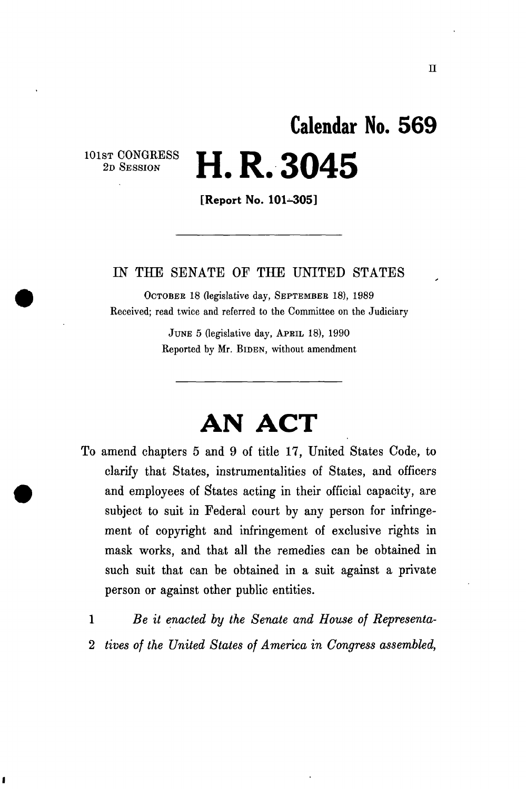# **Calendar No. 56 9 2D SESSION H. R. 3045**

**[Report No. 101-305]** 

### IN THE SENATE OF THE UNITED STATES

OCTOBEB 18 (legislative day, SEPTEMBEB 18), 1989 Received; read twice and referred to the Committee on the Judiciary

> JUNE 5 (legislative day, APRIL 18), 1990 Reported by Mr. BIDEN, without amendment

## **AN ACT**

- To amend chapters 5 and 9 of title 17, United States Code, to clarify that States, instrumentalities of States, and officers and employees of States acting in their official capacity, are subject to suit in Federal court by any person for infringement of copyright and infringement of exclusive rights in mask works, and that all the remedies can be obtained in such suit that can be obtained in a suit against a private person or against other public entities.
	- 1 *Be it enacted by the Senate and House of Representa-*2 *tives of the United States of America in Congress assembled,*

1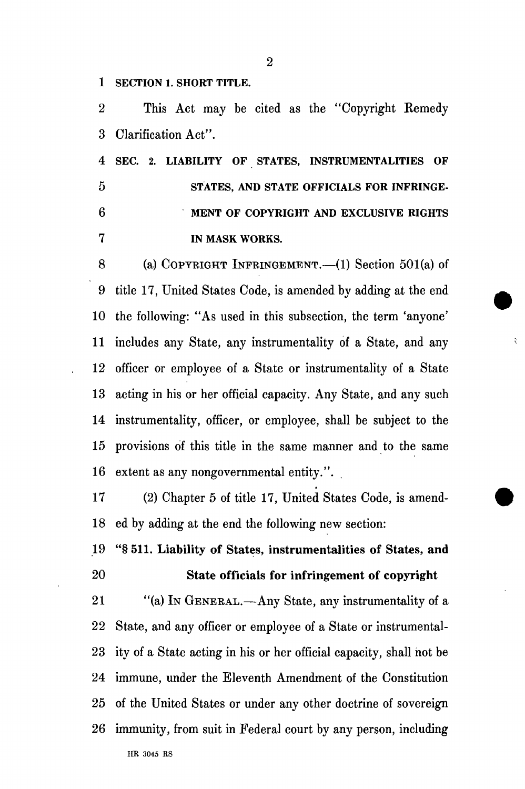**1 SECTION 1. SHORT TITLE.** 

2 This Act may be cited as the "Copyright Eemedy 3 Clarification Act".

**4 SEC. 2. LIABILITY OF STATES, INSTRUMENTALITIES OF 5 STATES, AND STATE OFFICIALS FOR INFRINGE-6 MENT OF COPYRIGHT AND EXCLUSIVE RIGHTS 7 IN MASK WORKS.** 

8 (a) COPYRIGHT INFRINGEMENT.—(1) Section 501(a) of 9 title 17, United States Code, is amended by adding at the end 10 the following: "As used in this subsection, the term 'anyone' 11 includes any State, any instrumentality of a State, and any 12 officer or employee of a State or instrumentality of a State 13 acting in his or her official capacity. Any State, and any such 14 instrumentality, officer, or employee, shall be subject to the 15 provisions of this title in the same manner and to the same 16 extent as any nongovernmental entity.".

¢

17 (2) Chapter 5 of title 17, United States Code, is amend-18 ed by adding at the end the following new section:

19 "§ 511. Liability of States, instrumentalities of States, and 20 State officials for infringement of copyright

21 "(a) IN GENERAL.—Any State, any instrumentality of a 22 State, and any officer or employee of a State or instrumental-23 ity of a State acting in his or her official capacity, shall hot be 24 immune, under the Eleventh Amendment of the Constitution 25 of the United States or under any other doctrine of sovereign 26 immunity, from suit in Federal court by any person, including HR 3045 RS

2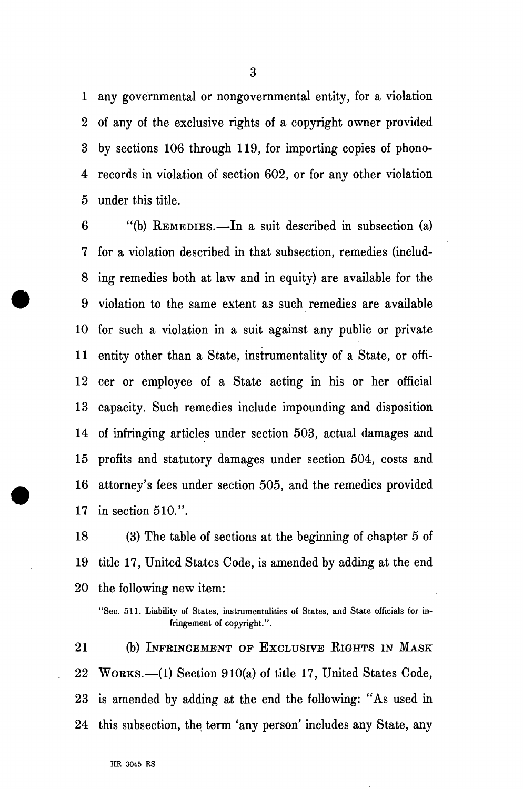1 any governmental or nongovernmental entity, for a violation 2 of any of the exclusive rights of a copyright owner provided 3 by sections 106 through 119, for importing copies of phono-4 records in violation of section 602, or for any other violation 5 under this title.

6 "(b) REMEDIES.—In a suit described in subsection (a) 7 for a violation described in that subsection, remedies (includ-8 ing remedies both at law and in equity) are available for the 9 violation to the same extent as such remedies are available 10 for such a violation in a suit against any public or private 11 entity other than a State, instrumentality of a State, or offi-12 cer or employee of a State acting in his or her official 13 capacity. Such remedies include impounding and disposition 14 of infringing articles under section 503, actual damages and 15 profits and statutory damages under section 504, costs and 16 attorney's fees under section 505, and the remedies provided 17 in section 510.".

18 (3) The table of sections at the beginning of chapter 5 of 19 title 17, United States Code, is amended by adding at the end 20 the following new item:

21 (b) INFRINGEMENT OF EXCLUSIVE RIGHTS IN MASK 22 WORKS.—(1) Section 910(a) of title 17, United States Code, 23 is amended by adding at the end the following: "As used in 24 this subsection, the term 'any person' includes any State, any

<sup>&</sup>quot;Sec. 511. Liability of States, instrumentalities of States, and State officials for infringement of copyright.".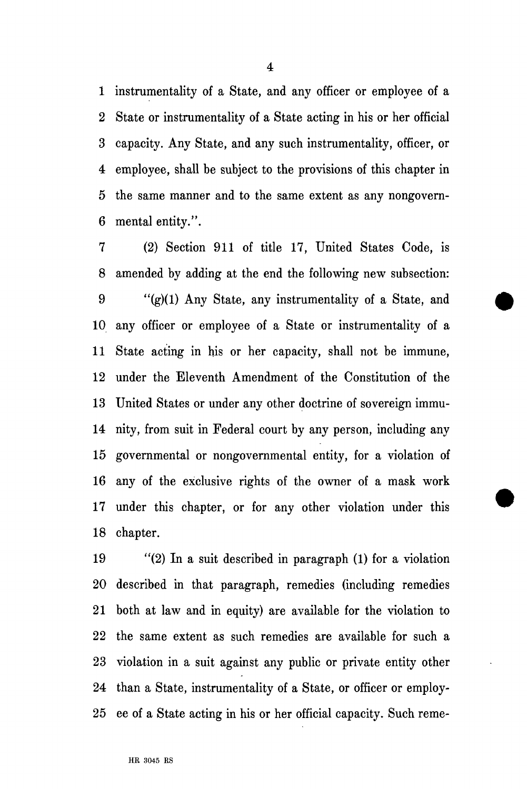1 instrumentality of a State, and any officer or employee of a 2 State or instrumentality of a State acting in his or her official 3 capacity. Any State, and any such instrumentality, officer, or 4 employee, shall be subject to the provisions of this chapter in 5 the same manner and to the same extent as any nongovern-6 mental entity.".

7 (2) Section 911 of title 17, United States Code, is 8 amended by adding at the end the following new subsection: 9 "(g)(1) Any State, any instrumentality of a State, and 10 any officer or employee of a State or instrumentality of a 11 State acting in his or her capacity, shall not be immune, 12 under the Eleventh Amendment of the Constitution of the 13 United States or under any other doctrine of sovereign immu-14 nity, from suit in Federal court by any person, including any 15 governmental or nongovernmental entity, for a violation of 16 any of the exclusive rights of the owner of a mask work 17 under this chapter, or for any other violation under this 18 chapter.

19 "(2) In a suit described in paragraph (1) for a violation 20 described in that paragraph, remedies (including remedies 21 both at law and in equity) are available for the violation to 22 the same extent as such remedies are available for such a 23 violation in a suit against any public or private entity other 24 than a State, instrumentality of a State, or officer or employ-25 ee of a State acting in his or her official capacity. Such reme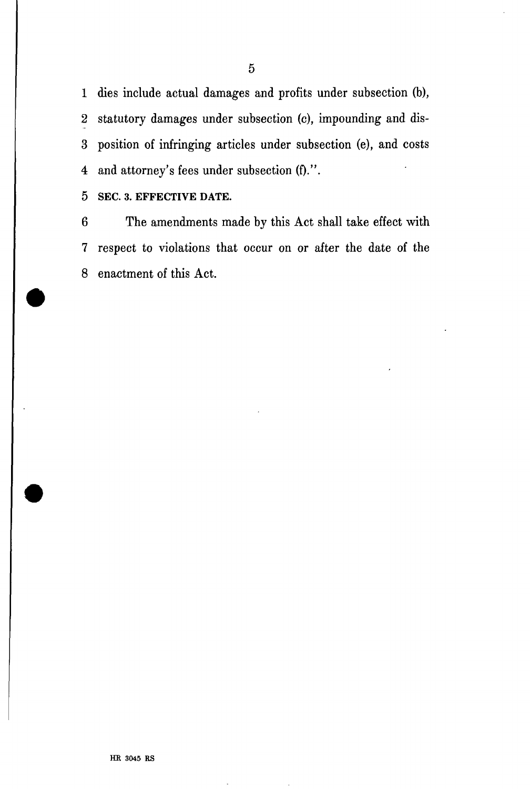1 dies include actual damages and profits under subsection (b), 2 statutory damages under subsection (c), impounding and dis-3 position of infringing articles under subsection (e), and costs 4 and attorney's fees under subsection (f).".

5 SEC. 3. EFFECTIVE DATE.

6 The amendments made by this Act shall take effect with 7 respect to violations that occur on or after the date of the 8 enactment of this Act.